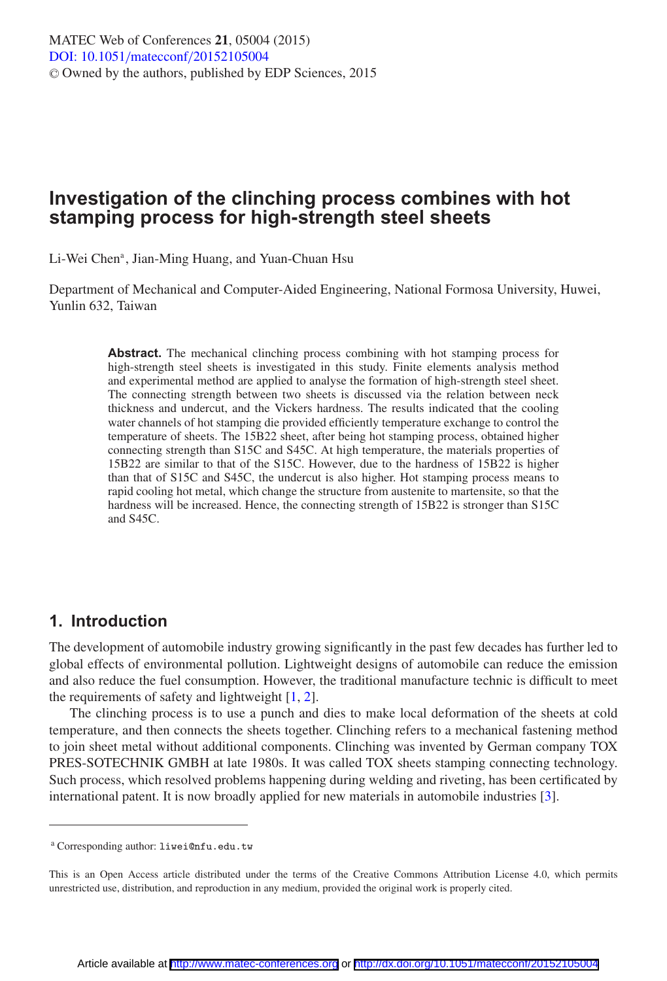# **Investigation of the clinching process combines with hot stamping process for high-strength steel sheets**

Li-Wei Chen<sup>a</sup>, Jian-Ming Huang, and Yuan-Chuan Hsu

Department of Mechanical and Computer-Aided Engineering, National Formosa University, Huwei, Yunlin 632, Taiwan

> **Abstract.** The mechanical clinching process combining with hot stamping process for high-strength steel sheets is investigated in this study. Finite elements analysis method and experimental method are applied to analyse the formation of high-strength steel sheet. The connecting strength between two sheets is discussed via the relation between neck thickness and undercut, and the Vickers hardness. The results indicated that the cooling water channels of hot stamping die provided efficiently temperature exchange to control the temperature of sheets. The 15B22 sheet, after being hot stamping process, obtained higher connecting strength than S15C and S45C. At high temperature, the materials properties of 15B22 are similar to that of the S15C. However, due to the hardness of 15B22 is higher than that of S15C and S45C, the undercut is also higher. Hot stamping process means to rapid cooling hot metal, which change the structure from austenite to martensite, so that the hardness will be increased. Hence, the connecting strength of 15B22 is stronger than S15C and S45C.

### **1. Introduction**

The development of automobile industry growing significantly in the past few decades has further led to global effects of environmental pollution. Lightweight designs of automobile can reduce the emission and also reduce the fuel consumption. However, the traditional manufacture technic is difficult to meet the requirements of safety and lightweight  $[1, 2]$  $[1, 2]$  $[1, 2]$ .

The clinching process is to use a punch and dies to make local deformation of the sheets at cold temperature, and then connects the sheets together. Clinching refers to a mechanical fastening method to join sheet metal without additional components. Clinching was invented by German company TOX PRES-SOTECHNIK GMBH at late 1980s. It was called TOX sheets stamping connecting technology. Such process, which resolved problems happening during welding and riveting, has been certificated by international patent. It is now broadly applied for new materials in automobile industries [\[3\]](#page-7-2).

<sup>a</sup> Corresponding author: liwei@nfu.edu.tw

This is an Open Access article distributed under the terms of the Creative Commons Attribution License 4.0, which permits unrestricted use, distribution, and reproduction in any medium, provided the original work is properly cited.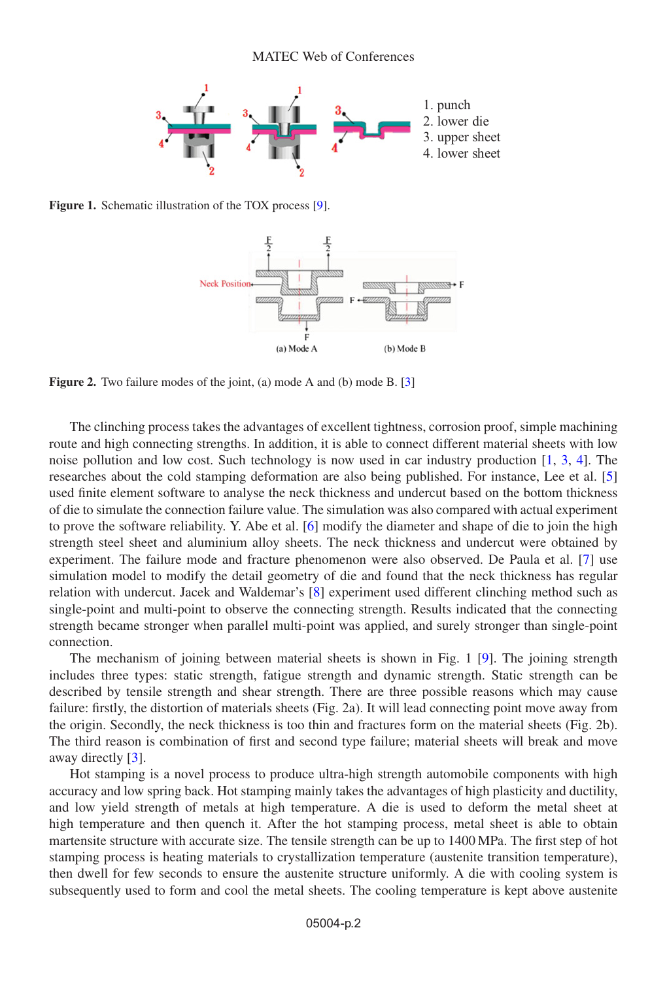

**Figure 1.** Schematic illustration of the TOX process [\[9\]](#page-7-3).



**Figure 2.** Two failure modes of the joint, (a) mode A and (b) mode B. [\[3](#page-7-2)]

The clinching process takes the advantages of excellent tightness, corrosion proof, simple machining route and high connecting strengths. In addition, it is able to connect different material sheets with low noise pollution and low cost. Such technology is now used in car industry production [\[1,](#page-7-0) [3,](#page-7-2) [4\]](#page-7-4). The researches about the cold stamping deformation are also being published. For instance, Lee et al. [\[5](#page-7-5)] used finite element software to analyse the neck thickness and undercut based on the bottom thickness of die to simulate the connection failure value. The simulation was also compared with actual experiment to prove the software reliability. Y. Abe et al. [\[6](#page-7-6)] modify the diameter and shape of die to join the high strength steel sheet and aluminium alloy sheets. The neck thickness and undercut were obtained by experiment. The failure mode and fracture phenomenon were also observed. De Paula et al. [\[7](#page-7-7)] use simulation model to modify the detail geometry of die and found that the neck thickness has regular relation with undercut. Jacek and Waldemar's [\[8](#page-7-8)] experiment used different clinching method such as single-point and multi-point to observe the connecting strength. Results indicated that the connecting strength became stronger when parallel multi-point was applied, and surely stronger than single-point connection.

The mechanism of joining between material sheets is shown in Fig. 1 [\[9](#page-7-3)]. The joining strength includes three types: static strength, fatigue strength and dynamic strength. Static strength can be described by tensile strength and shear strength. There are three possible reasons which may cause failure: firstly, the distortion of materials sheets (Fig. 2a). It will lead connecting point move away from the origin. Secondly, the neck thickness is too thin and fractures form on the material sheets (Fig. 2b). The third reason is combination of first and second type failure; material sheets will break and move away directly [\[3\]](#page-7-2).

Hot stamping is a novel process to produce ultra-high strength automobile components with high accuracy and low spring back. Hot stamping mainly takes the advantages of high plasticity and ductility, and low yield strength of metals at high temperature. A die is used to deform the metal sheet at high temperature and then quench it. After the hot stamping process, metal sheet is able to obtain martensite structure with accurate size. The tensile strength can be up to 1400 MPa. The first step of hot stamping process is heating materials to crystallization temperature (austenite transition temperature), then dwell for few seconds to ensure the austenite structure uniformly. A die with cooling system is subsequently used to form and cool the metal sheets. The cooling temperature is kept above austenite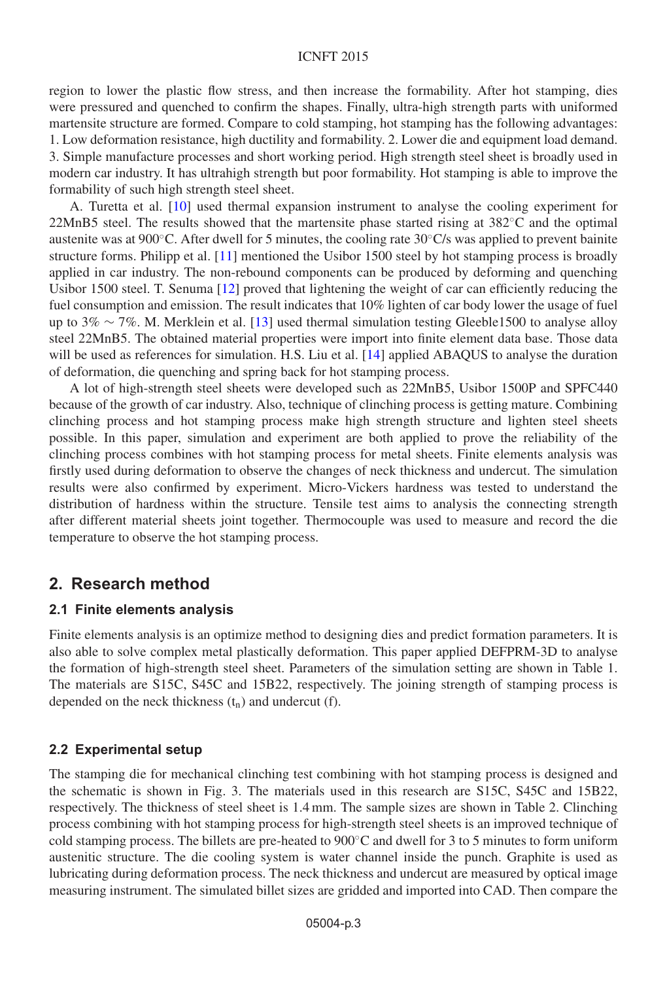#### ICNFT 2015

region to lower the plastic flow stress, and then increase the formability. After hot stamping, dies were pressured and quenched to confirm the shapes. Finally, ultra-high strength parts with uniformed martensite structure are formed. Compare to cold stamping, hot stamping has the following advantages: 1. Low deformation resistance, high ductility and formability. 2. Lower die and equipment load demand. 3. Simple manufacture processes and short working period. High strength steel sheet is broadly used in modern car industry. It has ultrahigh strength but poor formability. Hot stamping is able to improve the formability of such high strength steel sheet.

A. Turetta et al. [\[10\]](#page-7-9) used thermal expansion instrument to analyse the cooling experiment for 22MnB5 steel. The results showed that the martensite phase started rising at 382◦C and the optimal austenite was at 900◦C. After dwell for 5 minutes, the cooling rate 30◦C/s was applied to prevent bainite structure forms. Philipp et al. [\[11](#page-7-10)] mentioned the Usibor 1500 steel by hot stamping process is broadly applied in car industry. The non-rebound components can be produced by deforming and quenching Usibor 1500 steel. T. Senuma [\[12](#page-7-11)] proved that lightening the weight of car can efficiently reducing the fuel consumption and emission. The result indicates that 10% lighten of car body lower the usage of fuel up to 3% ∼ 7%. M. Merklein et al. [\[13](#page-7-12)] used thermal simulation testing Gleeble1500 to analyse alloy steel 22MnB5. The obtained material properties were import into finite element data base. Those data will be used as references for simulation. H.S. Liu et al. [\[14\]](#page-7-13) applied ABAQUS to analyse the duration of deformation, die quenching and spring back for hot stamping process.

A lot of high-strength steel sheets were developed such as 22MnB5, Usibor 1500P and SPFC440 because of the growth of car industry. Also, technique of clinching process is getting mature. Combining clinching process and hot stamping process make high strength structure and lighten steel sheets possible. In this paper, simulation and experiment are both applied to prove the reliability of the clinching process combines with hot stamping process for metal sheets. Finite elements analysis was firstly used during deformation to observe the changes of neck thickness and undercut. The simulation results were also confirmed by experiment. Micro-Vickers hardness was tested to understand the distribution of hardness within the structure. Tensile test aims to analysis the connecting strength after different material sheets joint together. Thermocouple was used to measure and record the die temperature to observe the hot stamping process.

### **2. Research method**

#### **2.1 Finite elements analysis**

Finite elements analysis is an optimize method to designing dies and predict formation parameters. It is also able to solve complex metal plastically deformation. This paper applied DEFPRM-3D to analyse the formation of high-strength steel sheet. Parameters of the simulation setting are shown in Table 1. The materials are S15C, S45C and 15B22, respectively. The joining strength of stamping process is depended on the neck thickness  $(t_n)$  and undercut (f).

#### **2.2 Experimental setup**

The stamping die for mechanical clinching test combining with hot stamping process is designed and the schematic is shown in Fig. 3. The materials used in this research are S15C, S45C and 15B22, respectively. The thickness of steel sheet is 1.4 mm. The sample sizes are shown in Table 2. Clinching process combining with hot stamping process for high-strength steel sheets is an improved technique of cold stamping process. The billets are pre-heated to 900◦C and dwell for 3 to 5 minutes to form uniform austenitic structure. The die cooling system is water channel inside the punch. Graphite is used as lubricating during deformation process. The neck thickness and undercut are measured by optical image measuring instrument. The simulated billet sizes are gridded and imported into CAD. Then compare the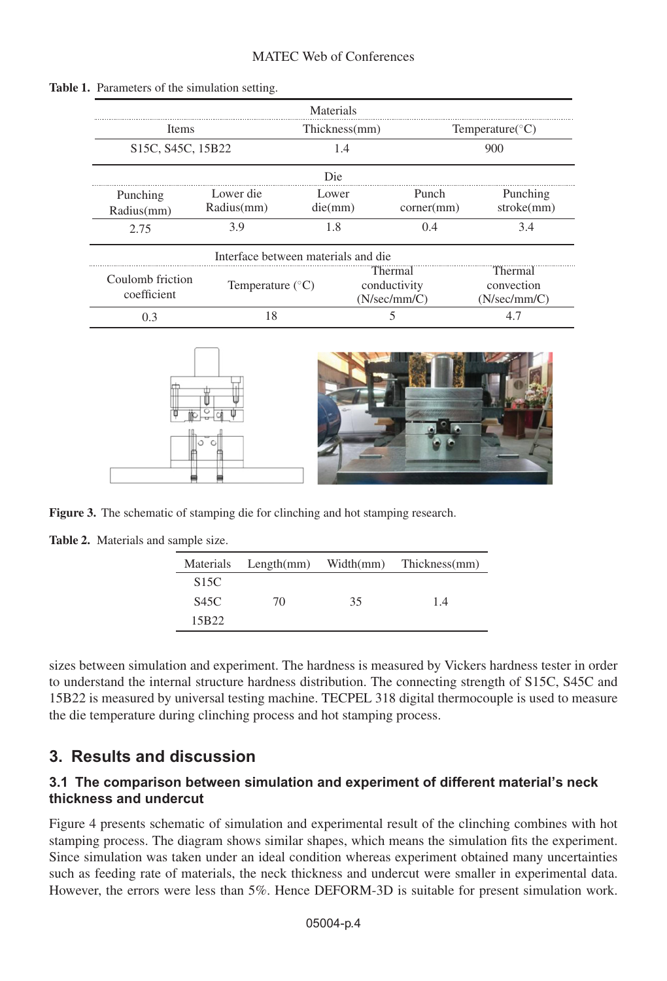|                                                                  |                                     | Materials        |                                         |                                       |  |
|------------------------------------------------------------------|-------------------------------------|------------------|-----------------------------------------|---------------------------------------|--|
| Items<br>S <sub>15</sub> C, S <sub>45</sub> C, 15 <sub>B22</sub> |                                     | Thickness(mm)    |                                         | Temperature( $\mathrm{^{\circ}C}$ )   |  |
|                                                                  |                                     | 1.4              |                                         | 900                                   |  |
|                                                                  |                                     | Die              |                                         |                                       |  |
| Punching<br>Radius(mm)                                           | Lower die<br>Radius(mm)             | Lower<br>die(mm) | Punch<br>corner(mm)                     | Punching<br>stroke(mm)                |  |
| 2.75                                                             | 3.9                                 | 1.8              | 0.4                                     | 3.4                                   |  |
|                                                                  | Interface between materials and die |                  |                                         |                                       |  |
| Coulomb friction<br>coefficient                                  | Temperature $(^{\circ}C)$           |                  | Thermal<br>conductivity<br>(N/sec/mm/C) | Thermal<br>convection<br>(N/sec/mm/C) |  |
| 0.3                                                              | 18                                  |                  |                                         | 4.7                                   |  |

#### **Table 1.** Parameters of the simulation setting.



**Figure 3.** The schematic of stamping die for clinching and hot stamping research.

|  | Table 2. Materials and sample size. |  |  |  |
|--|-------------------------------------|--|--|--|
|--|-------------------------------------|--|--|--|

|                   | Materials Length(mm) | Width(mm) | Thickness(mm) |
|-------------------|----------------------|-----------|---------------|
| S <sub>15</sub> C |                      |           |               |
| S45C              | 70                   | 35        | 1.4           |
| 15B22             |                      |           |               |

sizes between simulation and experiment. The hardness is measured by Vickers hardness tester in order to understand the internal structure hardness distribution. The connecting strength of S15C, S45C and 15B22 is measured by universal testing machine. TECPEL 318 digital thermocouple is used to measure the die temperature during clinching process and hot stamping process.

## **3. Results and discussion**

### **3.1 The comparison between simulation and experiment of different material's neck thickness and undercut**

Figure 4 presents schematic of simulation and experimental result of the clinching combines with hot stamping process. The diagram shows similar shapes, which means the simulation fits the experiment. Since simulation was taken under an ideal condition whereas experiment obtained many uncertainties such as feeding rate of materials, the neck thickness and undercut were smaller in experimental data. However, the errors were less than 5%. Hence DEFORM-3D is suitable for present simulation work.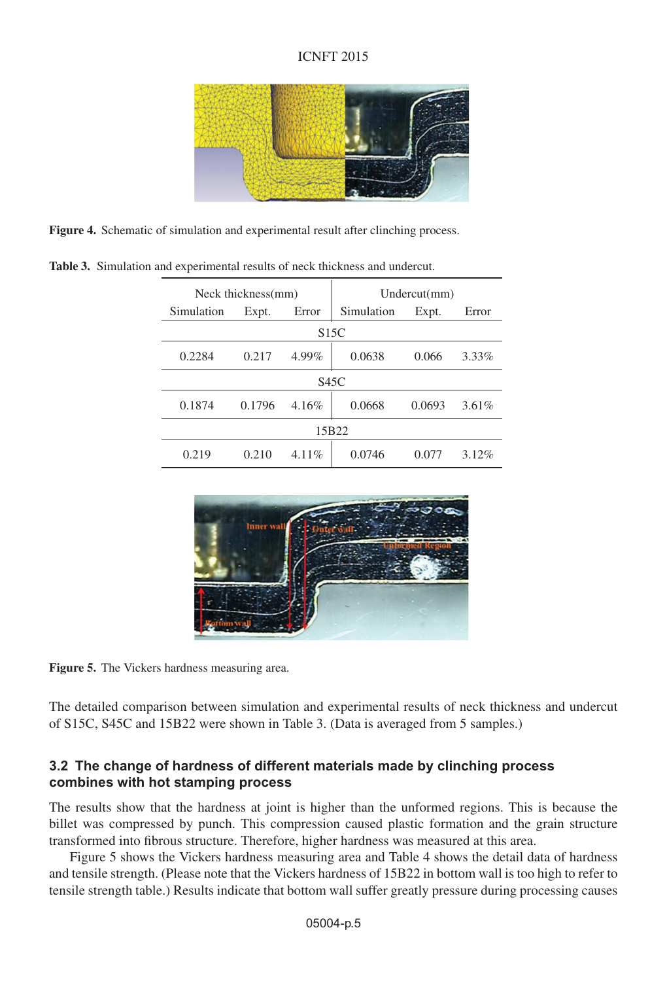### ICNFT 2015



**Figure 4.** Schematic of simulation and experimental result after clinching process.

|                   | Neck thickness(mm) |        |          | Undercut(mm) |        |          |
|-------------------|--------------------|--------|----------|--------------|--------|----------|
|                   | Simulation         | Expt.  | Error    | Simulation   | Expt.  | Error    |
| S <sub>15</sub> C |                    |        |          |              |        |          |
|                   | 0.2284             | 0.217  | 4.99%    | 0.0638       | 0.066  | 3.33%    |
| S45C              |                    |        |          |              |        |          |
|                   | 0.1874             | 0.1796 | 4.16%    | 0.0668       | 0.0693 | $3.61\%$ |
|                   | 15B22              |        |          |              |        |          |
|                   | 0.219              | 0.210  | $4.11\%$ | 0.0746       | 0.077  | 3.12%    |

**Table 3.** Simulation and experimental results of neck thickness and undercut.



**Figure 5.** The Vickers hardness measuring area.

The detailed comparison between simulation and experimental results of neck thickness and undercut of S15C, S45C and 15B22 were shown in Table 3. (Data is averaged from 5 samples.)

### **3.2 The change of hardness of different materials made by clinching process combines with hot stamping process**

The results show that the hardness at joint is higher than the unformed regions. This is because the billet was compressed by punch. This compression caused plastic formation and the grain structure transformed into fibrous structure. Therefore, higher hardness was measured at this area.

Figure 5 shows the Vickers hardness measuring area and Table 4 shows the detail data of hardness and tensile strength. (Please note that the Vickers hardness of 15B22 in bottom wall is too high to refer to tensile strength table.) Results indicate that bottom wall suffer greatly pressure during processing causes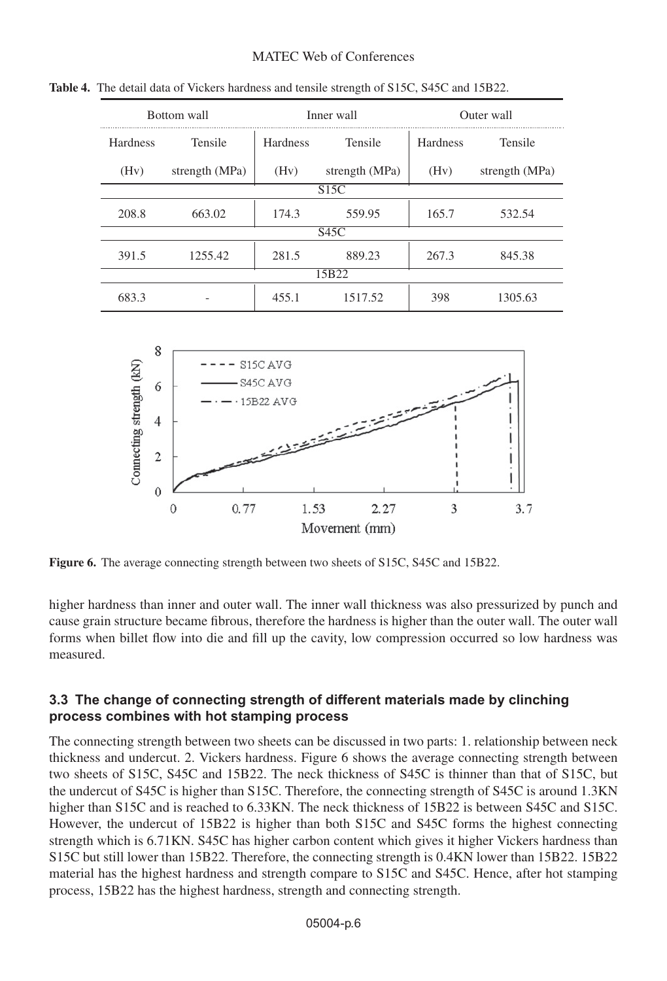#### MATEC Web of Conferences

| Bottom wall     |                | Inner wall      |                | Outer wall      |                |  |
|-----------------|----------------|-----------------|----------------|-----------------|----------------|--|
| <b>Hardness</b> | Tensile        | <b>Hardness</b> | Tensile        | <b>Hardness</b> | Tensile        |  |
| (Hv)            | strength (MPa) | (Hv)            | strength (MPa) | (Hv)            | strength (MPa) |  |
|                 | S15C           |                 |                |                 |                |  |
| 208.8           | 663.02         | 174.3           | 559.95         | 165.7           | 532.54         |  |
|                 | S45C           |                 |                |                 |                |  |
| 391.5           | 1255.42        | 281.5           | 889.23         | 267.3           | 845.38         |  |
|                 | 15B22          |                 |                |                 |                |  |
| 683.3           |                | 455.1           | 1517.52        | 398             | 1305.63        |  |

**Table 4.** The detail data of Vickers hardness and tensile strength of S15C, S45C and 15B22.



**Figure 6.** The average connecting strength between two sheets of S15C, S45C and 15B22.

higher hardness than inner and outer wall. The inner wall thickness was also pressurized by punch and cause grain structure became fibrous, therefore the hardness is higher than the outer wall. The outer wall forms when billet flow into die and fill up the cavity, low compression occurred so low hardness was measured.

#### **3.3 The change of connecting strength of different materials made by clinching process combines with hot stamping process**

The connecting strength between two sheets can be discussed in two parts: 1. relationship between neck thickness and undercut. 2. Vickers hardness. Figure 6 shows the average connecting strength between two sheets of S15C, S45C and 15B22. The neck thickness of S45C is thinner than that of S15C, but the undercut of S45C is higher than S15C. Therefore, the connecting strength of S45C is around 1.3KN higher than S15C and is reached to 6.33KN. The neck thickness of 15B22 is between S45C and S15C. However, the undercut of 15B22 is higher than both S15C and S45C forms the highest connecting strength which is 6.71KN. S45C has higher carbon content which gives it higher Vickers hardness than S15C but still lower than 15B22. Therefore, the connecting strength is 0.4KN lower than 15B22. 15B22 material has the highest hardness and strength compare to S15C and S45C. Hence, after hot stamping process, 15B22 has the highest hardness, strength and connecting strength.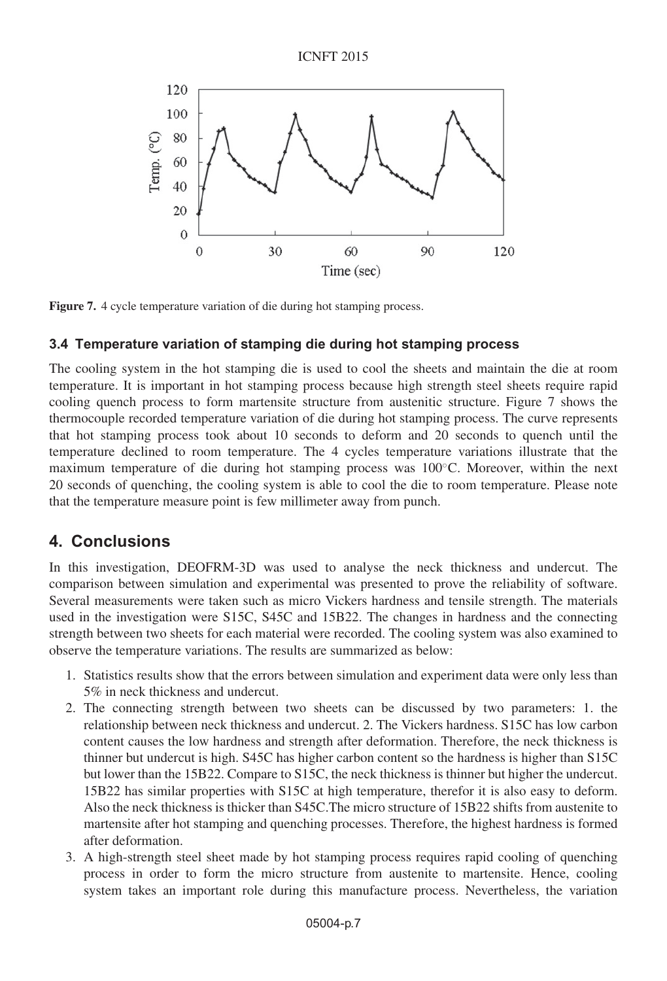

**Figure 7.** 4 cycle temperature variation of die during hot stamping process.

### **3.4 Temperature variation of stamping die during hot stamping process**

The cooling system in the hot stamping die is used to cool the sheets and maintain the die at room temperature. It is important in hot stamping process because high strength steel sheets require rapid cooling quench process to form martensite structure from austenitic structure. Figure 7 shows the thermocouple recorded temperature variation of die during hot stamping process. The curve represents that hot stamping process took about 10 seconds to deform and 20 seconds to quench until the temperature declined to room temperature. The 4 cycles temperature variations illustrate that the maximum temperature of die during hot stamping process was 100◦C. Moreover, within the next 20 seconds of quenching, the cooling system is able to cool the die to room temperature. Please note that the temperature measure point is few millimeter away from punch.

## **4. Conclusions**

In this investigation, DEOFRM-3D was used to analyse the neck thickness and undercut. The comparison between simulation and experimental was presented to prove the reliability of software. Several measurements were taken such as micro Vickers hardness and tensile strength. The materials used in the investigation were S15C, S45C and 15B22. The changes in hardness and the connecting strength between two sheets for each material were recorded. The cooling system was also examined to observe the temperature variations. The results are summarized as below:

- 1. Statistics results show that the errors between simulation and experiment data were only less than 5% in neck thickness and undercut.
- 2. The connecting strength between two sheets can be discussed by two parameters: 1. the relationship between neck thickness and undercut. 2. The Vickers hardness. S15C has low carbon content causes the low hardness and strength after deformation. Therefore, the neck thickness is thinner but undercut is high. S45C has higher carbon content so the hardness is higher than S15C but lower than the 15B22. Compare to S15C, the neck thickness is thinner but higher the undercut. 15B22 has similar properties with S15C at high temperature, therefor it is also easy to deform. Also the neck thickness is thicker than S45C.The micro structure of 15B22 shifts from austenite to martensite after hot stamping and quenching processes. Therefore, the highest hardness is formed after deformation.
- 3. A high-strength steel sheet made by hot stamping process requires rapid cooling of quenching process in order to form the micro structure from austenite to martensite. Hence, cooling system takes an important role during this manufacture process. Nevertheless, the variation